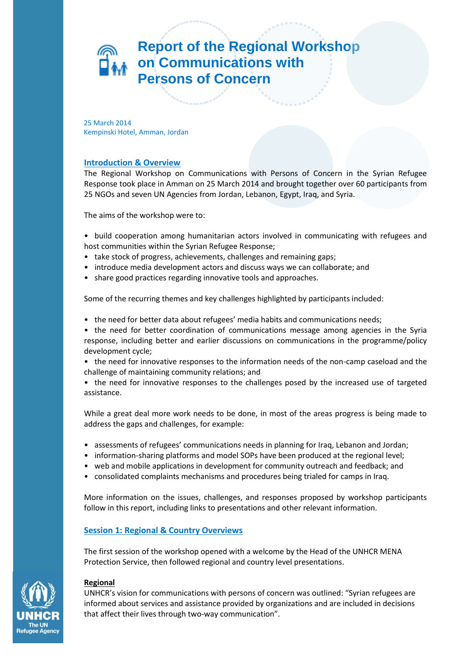# **Report of the Regional Workshop on Communications with Persons of Concern**

25 March 2014 Kempinski Hotel, Amman, Jordan

# **Introduction & Overview**

The Regional Workshop on Communications with Persons of Concern in the Syrian Refugee Response took place in Amman on 25 March 2014 and brought together over 60 participants from 25 NGOs and seven UN Agencies from Jordan, Lebanon, Egypt, Iraq, and Syria.

The aims of the workshop were to:

- build cooperation among humanitarian actors involved in communicating with refugees and host communities within the Syrian Refugee Response;
- take stock of progress, achievements, challenges and remaining gaps;
- introduce media development actors and discuss ways we can collaborate; and
- share good practices regarding innovative tools and approaches.

Some of the recurring themes and key challenges highlighted by participants included:

- the need for better data about refugees' media habits and communications needs;
- the need for better coordination of communications message among agencies in the Syria response, including better and earlier discussions on communications in the programme/policy development cycle;
- the need for innovative responses to the information needs of the non-camp caseload and the challenge of maintaining community relations; and
- the need for innovative responses to the challenges posed by the increased use of targeted assistance.

While a great deal more work needs to be done, in most of the areas progress is being made to address the gaps and challenges, for example:

- assessments of refugees' communications needs in planning for Iraq, Lebanon and Jordan;
- information-sharing platforms and model SOPs have been produced at the regional level;
- web and mobile applications in development for community outreach and feedback; and
- consolidated complaints mechanisms and procedures being trialed for camps in Iraq.

More information on the issues, challenges, and responses proposed by workshop participants follow in this report, including links to presentations and other relevant information.

# **Session 1: Regional & Country Overviews**

The first session of the workshop opened with a welcome by the Head of the UNHCR MENA Protection Service, then followed regional and country level presentations.

# **Regional**

UNHCR's vision for communications with persons of concern was outlined: "Syrian refugees are informed about services and assistance provided by organizations and are included in decisions that affect their lives through two-way communication".

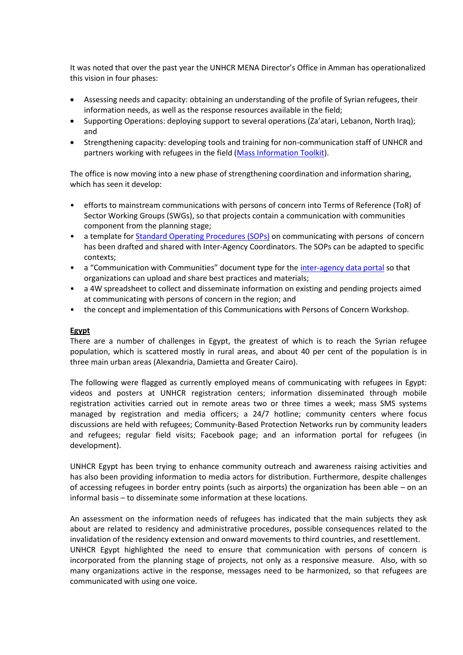It was noted that over the past year the UNHCR MENA Director's Office in Amman has operationalized this vision in four phases:

- Assessing needs and capacity: obtaining an understanding of the profile of Syrian refugees, their information needs, as well as the response resources available in the field;
- Supporting Operations: deploying support to several operations (Za'atari, Lebanon, North Iraq); and
- Strengthening capacity: developing tools and training for non-communication staff of UNHCR and partners working with refugees in the field [\(Mass Information Toolkit\)](http://data.unhcr.org/syrianrefugees/download.php?id=3610).

The office is now moving into a new phase of strengthening coordination and information sharing, which has seen it develop:

- efforts to mainstream communications with persons of concern into Terms of Reference (ToR) of Sector Working Groups (SWGs), so that projects contain a communication with communities component from the planning stage;
- a template fo[r Standard Operating Procedures \(SOPs\)](http://data.unhcr.org/syrianrefugees/download.php?id=4966) on communicating with persons of concern has been drafted and shared with Inter-Agency Coordinators. The SOPs can be adapted to specific contexts;
- a "Communication with Communities" document type for the [inter-agency data portal](http://data.unhcr.org/syrianrefugees/regional.php) so that organizations can upload and share best practices and materials;
- a 4W spreadsheet to collect and disseminate information on existing and pending projects aimed at communicating with persons of concern in the region; and
- the concept and implementation of this Communications with Persons of Concern Workshop.

# **Egypt**

There are a number of challenges in Egypt, the greatest of which is to reach the Syrian refugee population, which is scattered mostly in rural areas, and about 40 per cent of the population is in three main urban areas (Alexandria, Damietta and Greater Cairo).

The following were flagged as currently employed means of communicating with refugees in Egypt: videos and posters at UNHCR registration centers; information disseminated through mobile registration activities carried out in remote areas two or three times a week; mass SMS systems managed by registration and media officers; a 24/7 hotline; community centers where focus discussions are held with refugees; Community-Based Protection Networks run by community leaders and refugees; regular field visits; Facebook page; and an information portal for refugees (in development).

UNHCR Egypt has been trying to enhance community outreach and awareness raising activities and has also been providing information to media actors for distribution. Furthermore, despite challenges of accessing refugees in border entry points (such as airports) the organization has been able – on an informal basis – to disseminate some information at these locations.

An assessment on the information needs of refugees has indicated that the main subjects they ask about are related to residency and administrative procedures, possible consequences related to the invalidation of the residency extension and onward movements to third countries, and resettlement. UNHCR Egypt highlighted the need to ensure that communication with persons of concern is incorporated from the planning stage of projects, not only as a responsive measure. Also, with so many organizations active in the response, messages need to be harmonized, so that refugees are

communicated with using one voice.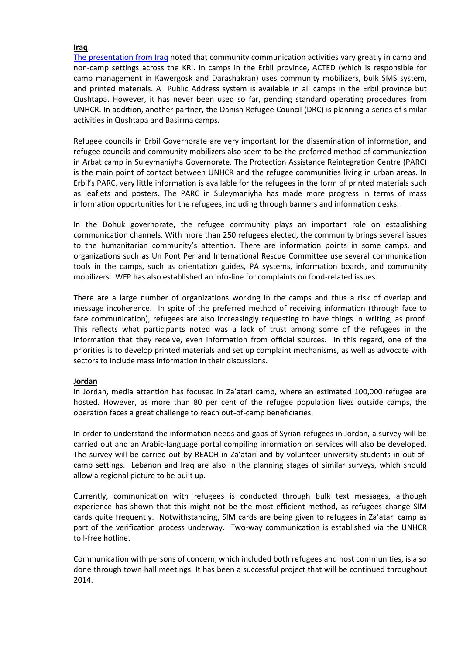#### **Iraq**

[The presentation from Iraq](http://prezi.com/5-cqqfbibasr/?utm_campaign=share&utm_medium=copy&rc=ex0share) noted that community communication activities vary greatly in camp and non-camp settings across the KRI. In camps in the Erbil province, ACTED (which is responsible for camp management in Kawergosk and Darashakran) uses community mobilizers, bulk SMS system, and printed materials. A Public Address system is available in all camps in the Erbil province but Qushtapa. However, it has never been used so far, pending standard operating procedures from UNHCR. In addition, another partner, the Danish Refugee Council (DRC) is planning a series of similar activities in Qushtapa and Basirma camps.

Refugee councils in Erbil Governorate are very important for the dissemination of information, and refugee councils and community mobilizers also seem to be the preferred method of communication in Arbat camp in Suleymaniyha Governorate. The Protection Assistance Reintegration Centre (PARC) is the main point of contact between UNHCR and the refugee communities living in urban areas. In Erbil's PARC, very little information is available for the refugees in the form of printed materials such as leaflets and posters. The PARC in Suleymaniyha has made more progress in terms of mass information opportunities for the refugees, including through banners and information desks.

In the Dohuk governorate, the refugee community plays an important role on establishing communication channels. With more than 250 refugees elected, the community brings several issues to the humanitarian community's attention. There are information points in some camps, and organizations such as Un Pont Per and International Rescue Committee use several communication tools in the camps, such as orientation guides, PA systems, information boards, and community mobilizers. WFP has also established an info-line for complaints on food-related issues.

There are a large number of organizations working in the camps and thus a risk of overlap and message incoherence. In spite of the preferred method of receiving information (through face to face communication), refugees are also increasingly requesting to have things in writing, as proof. This reflects what participants noted was a lack of trust among some of the refugees in the information that they receive, even information from official sources. In this regard, one of the priorities is to develop printed materials and set up complaint mechanisms, as well as advocate with sectors to include mass information in their discussions.

# **Jordan**

In Jordan, media attention has focused in Za'atari camp, where an estimated 100,000 refugee are hosted. However, as more than 80 per cent of the refugee population lives outside camps, the operation faces a great challenge to reach out-of-camp beneficiaries.

In order to understand the information needs and gaps of Syrian refugees in Jordan, a survey will be carried out and an Arabic-language portal compiling information on services will also be developed. The survey will be carried out by REACH in Za'atari and by volunteer university students in out-ofcamp settings. Lebanon and Iraq are also in the planning stages of similar surveys, which should allow a regional picture to be built up.

Currently, communication with refugees is conducted through bulk text messages, although experience has shown that this might not be the most efficient method, as refugees change SIM cards quite frequently. Notwithstanding, SIM cards are being given to refugees in Za'atari camp as part of the verification process underway. Two-way communication is established via the UNHCR toll-free hotline.

Communication with persons of concern, which included both refugees and host communities, is also done through town hall meetings. It has been a successful project that will be continued throughout 2014.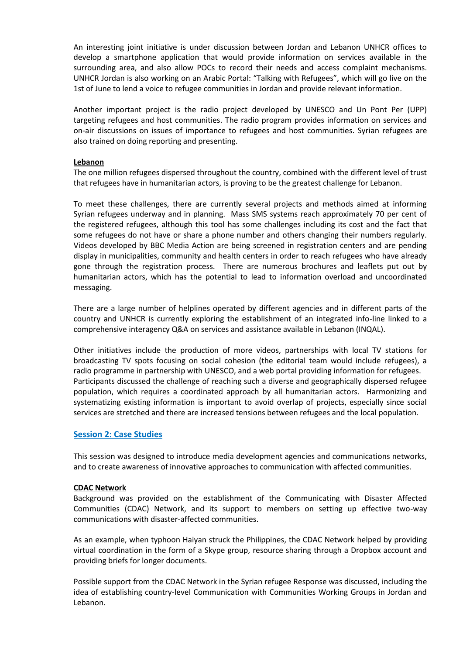An interesting joint initiative is under discussion between Jordan and Lebanon UNHCR offices to develop a smartphone application that would provide information on services available in the surrounding area, and also allow POCs to record their needs and access complaint mechanisms. UNHCR Jordan is also working on an Arabic Portal: "Talking with Refugees", which will go live on the 1st of June to lend a voice to refugee communities in Jordan and provide relevant information.

Another important project is the radio project developed by UNESCO and Un Pont Per (UPP) targeting refugees and host communities. The radio program provides information on services and on-air discussions on issues of importance to refugees and host communities. Syrian refugees are also trained on doing reporting and presenting.

#### **Lebanon**

The one million refugees dispersed throughout the country, combined with the different level of trust that refugees have in humanitarian actors, is proving to be the greatest challenge for Lebanon.

To meet these challenges, there are currently several projects and methods aimed at informing Syrian refugees underway and in planning. Mass SMS systems reach approximately 70 per cent of the registered refugees, although this tool has some challenges including its cost and the fact that some refugees do not have or share a phone number and others changing their numbers regularly. Videos developed by BBC Media Action are being screened in registration centers and are pending display in municipalities, community and health centers in order to reach refugees who have already gone through the registration process. There are numerous brochures and leaflets put out by humanitarian actors, which has the potential to lead to information overload and uncoordinated messaging.

There are a large number of helplines operated by different agencies and in different parts of the country and UNHCR is currently exploring the establishment of an integrated info-line linked to a comprehensive interagency Q&A on services and assistance available in Lebanon (INQAL).

Other initiatives include the production of more videos, partnerships with local TV stations for broadcasting TV spots focusing on social cohesion (the editorial team would include refugees), a radio programme in partnership with UNESCO, and a web portal providing information for refugees. Participants discussed the challenge of reaching such a diverse and geographically dispersed refugee population, which requires a coordinated approach by all humanitarian actors. Harmonizing and systematizing existing information is important to avoid overlap of projects, especially since social services are stretched and there are increased tensions between refugees and the local population.

# **Session 2: Case Studies**

This session was designed to introduce media development agencies and communications networks, and to create awareness of innovative approaches to communication with affected communities.

#### **CDAC Network**

Background was provided on the establishment of the Communicating with Disaster Affected Communities (CDAC) Network, and its support to members on setting up effective two-way communications with disaster-affected communities.

As an example, when typhoon Haiyan struck the Philippines, the CDAC Network helped by providing virtual coordination in the form of a Skype group, resource sharing through a Dropbox account and providing briefs for longer documents.

Possible support from the CDAC Network in the Syrian refugee Response was discussed, including the idea of establishing country-level Communication with Communities Working Groups in Jordan and Lebanon.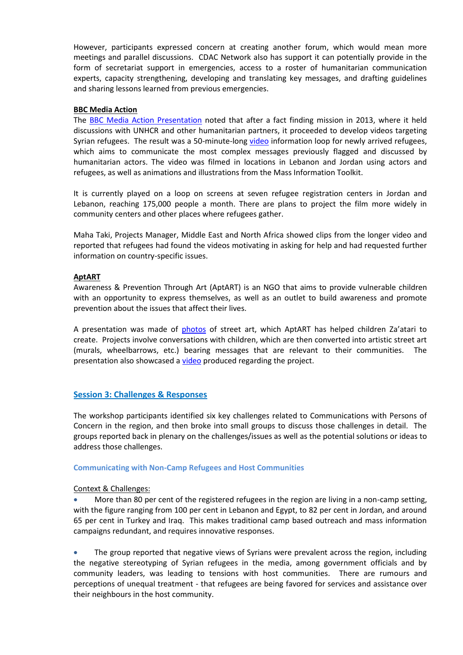However, participants expressed concern at creating another forum, which would mean more meetings and parallel discussions. CDAC Network also has support it can potentially provide in the form of secretariat support in emergencies, access to a roster of humanitarian communication experts, capacity strengthening, developing and translating key messages, and drafting guidelines and sharing lessons learned from previous emergencies.

#### **BBC Media Action**

The [BBC Media Action Presentation](http://we.tl/cJy0edFYst) noted that after a fact finding mission in 2013, where it held discussions with UNHCR and other humanitarian partners, it proceeded to develop videos targeting Syrian refugees. The result was a 50-minute-long [video](http://vimeo.com/syrialifeline) information loop for newly arrived refugees, which aims to communicate the most complex messages previously flagged and discussed by humanitarian actors. The video was filmed in locations in Lebanon and Jordan using actors and refugees, as well as animations and illustrations from the Mass Information Toolkit.

It is currently played on a loop on screens at seven refugee registration centers in Jordan and Lebanon, reaching 175,000 people a month. There are plans to project the film more widely in community centers and other places where refugees gather.

Maha Taki, Projects Manager, Middle East and North Africa showed clips from the longer video and reported that refugees had found the videos motivating in asking for help and had requested further information on country-specific issues.

#### **AptART**

Awareness & Prevention Through Art (AptART) is an NGO that aims to provide vulnerable children with an opportunity to express themselves, as well as an outlet to build awareness and promote prevention about the issues that affect their lives.

A presentation was made of [photos](http://www.montana-cans.com/montana-blog/2013/07/01/aptart-present-childrens-work-direct-from-al-zaatari-refugee-camp/) of street art, which AptART has helped children Za'atari to create. Projects involve conversations with children, which are then converted into artistic street art (murals, wheelbarrows, etc.) bearing messages that are relevant to their communities. The presentation also showcased a [video](https://www.youtube.com/watch?v=fkvrbUzIaNk) produced regarding the project.

# **Session 3: Challenges & Responses**

The workshop participants identified six key challenges related to Communications with Persons of Concern in the region, and then broke into small groups to discuss those challenges in detail. The groups reported back in plenary on the challenges/issues as well as the potential solutions or ideas to address those challenges.

#### **Communicating with Non-Camp Refugees and Host Communities**

# Context & Challenges:

 More than 80 per cent of the registered refugees in the region are living in a non-camp setting, with the figure ranging from 100 per cent in Lebanon and Egypt, to 82 per cent in Jordan, and around 65 per cent in Turkey and Iraq. This makes traditional camp based outreach and mass information campaigns redundant, and requires innovative responses.

 The group reported that negative views of Syrians were prevalent across the region, including the negative stereotyping of Syrian refugees in the media, among government officials and by community leaders, was leading to tensions with host communities. There are rumours and perceptions of unequal treatment - that refugees are being favored for services and assistance over their neighbours in the host community.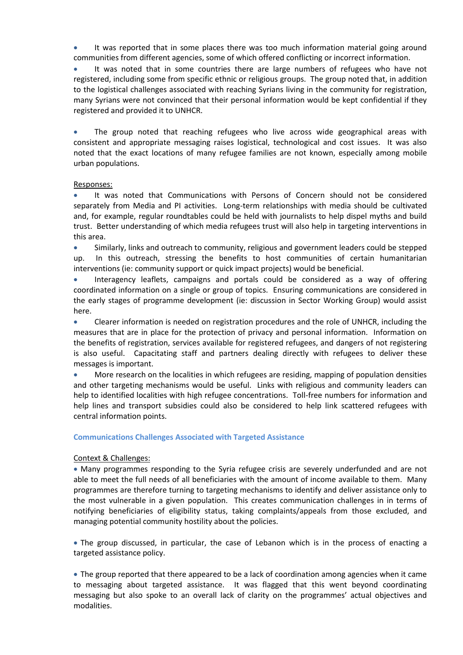It was reported that in some places there was too much information material going around communities from different agencies, some of which offered conflicting or incorrect information.

 It was noted that in some countries there are large numbers of refugees who have not registered, including some from specific ethnic or religious groups. The group noted that, in addition to the logistical challenges associated with reaching Syrians living in the community for registration, many Syrians were not convinced that their personal information would be kept confidential if they registered and provided it to UNHCR.

 The group noted that reaching refugees who live across wide geographical areas with consistent and appropriate messaging raises logistical, technological and cost issues. It was also noted that the exact locations of many refugee families are not known, especially among mobile urban populations.

#### Responses:

 It was noted that Communications with Persons of Concern should not be considered separately from Media and PI activities. Long-term relationships with media should be cultivated and, for example, regular roundtables could be held with journalists to help dispel myths and build trust. Better understanding of which media refugees trust will also help in targeting interventions in this area.

 Similarly, links and outreach to community, religious and government leaders could be stepped up. In this outreach, stressing the benefits to host communities of certain humanitarian interventions (ie: community support or quick impact projects) would be beneficial.

 Interagency leaflets, campaigns and portals could be considered as a way of offering coordinated information on a single or group of topics. Ensuring communications are considered in the early stages of programme development (ie: discussion in Sector Working Group) would assist here.

 Clearer information is needed on registration procedures and the role of UNHCR, including the measures that are in place for the protection of privacy and personal information. Information on the benefits of registration, services available for registered refugees, and dangers of not registering is also useful. Capacitating staff and partners dealing directly with refugees to deliver these messages is important.

 More research on the localities in which refugees are residing, mapping of population densities and other targeting mechanisms would be useful. Links with religious and community leaders can help to identified localities with high refugee concentrations. Toll-free numbers for information and help lines and transport subsidies could also be considered to help link scattered refugees with central information points.

#### **Communications Challenges Associated with Targeted Assistance**

# Context & Challenges:

 Many programmes responding to the Syria refugee crisis are severely underfunded and are not able to meet the full needs of all beneficiaries with the amount of income available to them. Many programmes are therefore turning to targeting mechanisms to identify and deliver assistance only to the most vulnerable in a given population. This creates communication challenges in in terms of notifying beneficiaries of eligibility status, taking complaints/appeals from those excluded, and managing potential community hostility about the policies.

 The group discussed, in particular, the case of Lebanon which is in the process of enacting a targeted assistance policy.

 The group reported that there appeared to be a lack of coordination among agencies when it came to messaging about targeted assistance. It was flagged that this went beyond coordinating messaging but also spoke to an overall lack of clarity on the programmes' actual objectives and modalities.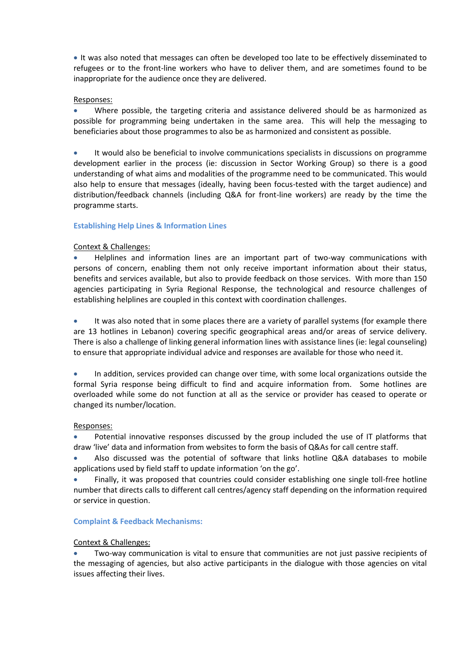It was also noted that messages can often be developed too late to be effectively disseminated to refugees or to the front-line workers who have to deliver them, and are sometimes found to be inappropriate for the audience once they are delivered.

# Responses:

 Where possible, the targeting criteria and assistance delivered should be as harmonized as possible for programming being undertaken in the same area. This will help the messaging to beneficiaries about those programmes to also be as harmonized and consistent as possible.

 It would also be beneficial to involve communications specialists in discussions on programme development earlier in the process (ie: discussion in Sector Working Group) so there is a good understanding of what aims and modalities of the programme need to be communicated. This would also help to ensure that messages (ideally, having been focus-tested with the target audience) and distribution/feedback channels (including Q&A for front-line workers) are ready by the time the programme starts.

# **Establishing Help Lines & Information Lines**

# Context & Challenges:

 Helplines and information lines are an important part of two-way communications with persons of concern, enabling them not only receive important information about their status, benefits and services available, but also to provide feedback on those services. With more than 150 agencies participating in Syria Regional Response, the technological and resource challenges of establishing helplines are coupled in this context with coordination challenges.

• It was also noted that in some places there are a variety of parallel systems (for example there are 13 hotlines in Lebanon) covering specific geographical areas and/or areas of service delivery. There is also a challenge of linking general information lines with assistance lines (ie: legal counseling) to ensure that appropriate individual advice and responses are available for those who need it.

• In addition, services provided can change over time, with some local organizations outside the formal Syria response being difficult to find and acquire information from. Some hotlines are overloaded while some do not function at all as the service or provider has ceased to operate or changed its number/location.

# Responses:

 Potential innovative responses discussed by the group included the use of IT platforms that draw 'live' data and information from websites to form the basis of Q&As for call centre staff.

 Also discussed was the potential of software that links hotline Q&A databases to mobile applications used by field staff to update information 'on the go'.

 Finally, it was proposed that countries could consider establishing one single toll-free hotline number that directs calls to different call centres/agency staff depending on the information required or service in question.

# **Complaint & Feedback Mechanisms:**

# Context & Challenges:

 Two-way communication is vital to ensure that communities are not just passive recipients of the messaging of agencies, but also active participants in the dialogue with those agencies on vital issues affecting their lives.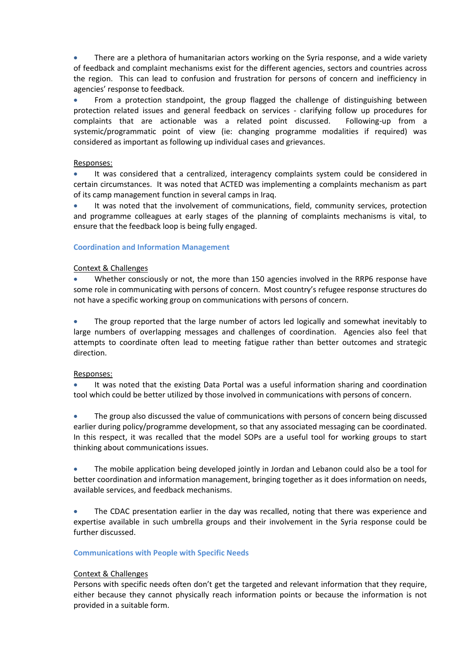• There are a plethora of humanitarian actors working on the Syria response, and a wide variety of feedback and complaint mechanisms exist for the different agencies, sectors and countries across the region. This can lead to confusion and frustration for persons of concern and inefficiency in agencies' response to feedback.

 From a protection standpoint, the group flagged the challenge of distinguishing between protection related issues and general feedback on services - clarifying follow up procedures for complaints that are actionable was a related point discussed. Following-up from a systemic/programmatic point of view (ie: changing programme modalities if required) was considered as important as following up individual cases and grievances.

#### Responses:

 It was considered that a centralized, interagency complaints system could be considered in certain circumstances. It was noted that ACTED was implementing a complaints mechanism as part of its camp management function in several camps in Iraq.

 It was noted that the involvement of communications, field, community services, protection and programme colleagues at early stages of the planning of complaints mechanisms is vital, to ensure that the feedback loop is being fully engaged.

#### **Coordination and Information Management**

#### Context & Challenges

 Whether consciously or not, the more than 150 agencies involved in the RRP6 response have some role in communicating with persons of concern. Most country's refugee response structures do not have a specific working group on communications with persons of concern.

• The group reported that the large number of actors led logically and somewhat inevitably to large numbers of overlapping messages and challenges of coordination. Agencies also feel that attempts to coordinate often lead to meeting fatigue rather than better outcomes and strategic direction.

#### Responses:

 It was noted that the existing Data Portal was a useful information sharing and coordination tool which could be better utilized by those involved in communications with persons of concern.

 The group also discussed the value of communications with persons of concern being discussed earlier during policy/programme development, so that any associated messaging can be coordinated. In this respect, it was recalled that the model SOPs are a useful tool for working groups to start thinking about communications issues.

 The mobile application being developed jointly in Jordan and Lebanon could also be a tool for better coordination and information management, bringing together as it does information on needs, available services, and feedback mechanisms.

• The CDAC presentation earlier in the day was recalled, noting that there was experience and expertise available in such umbrella groups and their involvement in the Syria response could be further discussed.

# **Communications with People with Specific Needs**

# Context & Challenges

Persons with specific needs often don't get the targeted and relevant information that they require, either because they cannot physically reach information points or because the information is not provided in a suitable form.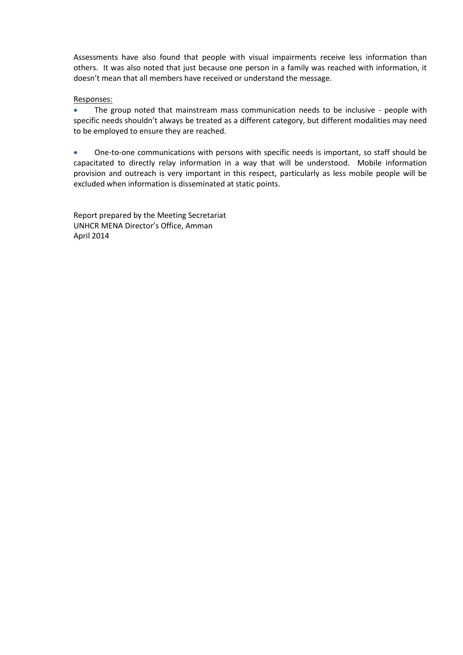Assessments have also found that people with visual impairments receive less information than others. It was also noted that just because one person in a family was reached with information, it doesn't mean that all members have received or understand the message.

# Responses:

• The group noted that mainstream mass communication needs to be inclusive - people with specific needs shouldn't always be treated as a different category, but different modalities may need to be employed to ensure they are reached.

 One-to-one communications with persons with specific needs is important, so staff should be capacitated to directly relay information in a way that will be understood. Mobile information provision and outreach is very important in this respect, particularly as less mobile people will be excluded when information is disseminated at static points.

Report prepared by the Meeting Secretariat UNHCR MENA Director's Office, Amman April 2014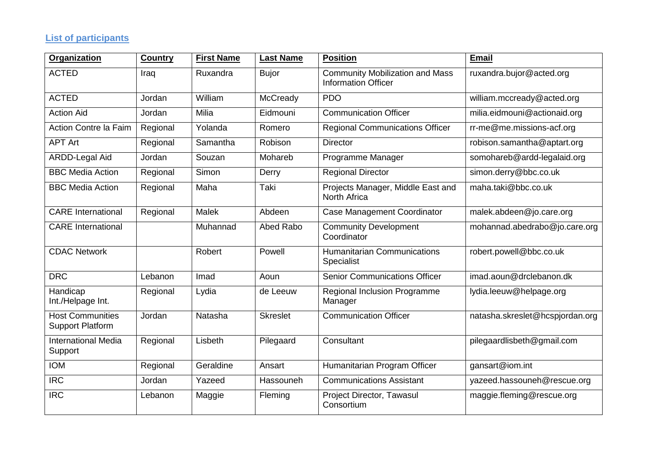# **List of participants**

| Organization                                       | <b>Country</b> | <b>First Name</b> | <b>Last Name</b> | <b>Position</b>                                                      | <b>Email</b>                    |
|----------------------------------------------------|----------------|-------------------|------------------|----------------------------------------------------------------------|---------------------------------|
| <b>ACTED</b>                                       | Iraq           | Ruxandra          | <b>Bujor</b>     | <b>Community Mobilization and Mass</b><br><b>Information Officer</b> | ruxandra.bujor@acted.org        |
| <b>ACTED</b>                                       | Jordan         | William           | McCready         | <b>PDO</b>                                                           | william.mccready@acted.org      |
| <b>Action Aid</b>                                  | Jordan         | Milia             | Eidmouni         | <b>Communication Officer</b>                                         | milia.eidmouni@actionaid.org    |
| Action Contre la Faim                              | Regional       | Yolanda           | Romero           | <b>Regional Communications Officer</b>                               | rr-me@me.missions-acf.org       |
| <b>APT Art</b>                                     | Regional       | Samantha          | Robison          | <b>Director</b>                                                      | robison.samantha@aptart.org     |
| <b>ARDD-Legal Aid</b>                              | Jordan         | Souzan            | Mohareb          | Programme Manager                                                    | somohareb@ardd-legalaid.org     |
| <b>BBC Media Action</b>                            | Regional       | Simon             | Derry            | <b>Regional Director</b>                                             | simon.derry@bbc.co.uk           |
| <b>BBC Media Action</b>                            | Regional       | Maha              | Taki             | Projects Manager, Middle East and<br>North Africa                    | maha.taki@bbc.co.uk             |
| <b>CARE</b> International                          | Regional       | Malek             | Abdeen           | Case Management Coordinator                                          | malek.abdeen@jo.care.org        |
| <b>CARE</b> International                          |                | Muhannad          | Abed Rabo        | Community Development<br>Coordinator                                 | mohannad.abedrabo@jo.care.org   |
| <b>CDAC Network</b>                                |                | Robert            | Powell           | <b>Humanitarian Communications</b><br>Specialist                     | robert.powell@bbc.co.uk         |
| <b>DRC</b>                                         | Lebanon        | Imad              | Aoun             | <b>Senior Communications Officer</b>                                 | imad.aoun@drclebanon.dk         |
| Handicap<br>Int./Helpage Int.                      | Regional       | Lydia             | de Leeuw         | Regional Inclusion Programme<br>Manager                              | lydia.leeuw@helpage.org         |
| <b>Host Communities</b><br><b>Support Platform</b> | Jordan         | Natasha           | <b>Skreslet</b>  | <b>Communication Officer</b>                                         | natasha.skreslet@hcspjordan.org |
| <b>International Media</b><br>Support              | Regional       | Lisbeth           | Pilegaard        | Consultant                                                           | pilegaardlisbeth@gmail.com      |
| <b>IOM</b>                                         | Regional       | Geraldine         | Ansart           | Humanitarian Program Officer                                         | gansart@iom.int                 |
| <b>IRC</b>                                         | Jordan         | Yazeed            | Hassouneh        | <b>Communications Assistant</b>                                      | yazeed.hassouneh@rescue.org     |
| <b>IRC</b>                                         | Lebanon        | Maggie            | Fleming          | Project Director, Tawasul<br>Consortium                              | maggie.fleming@rescue.org       |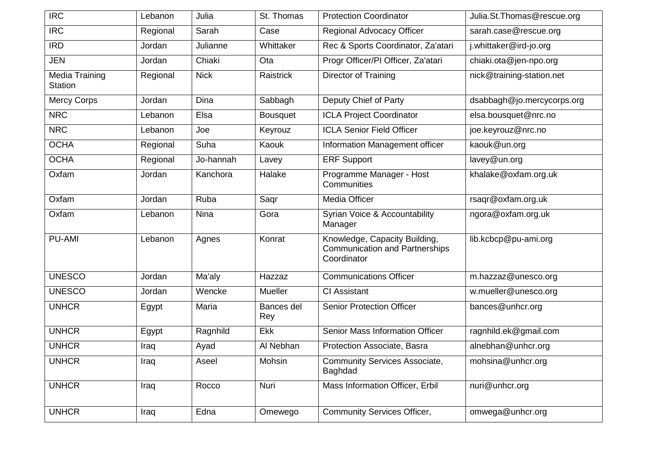| <b>IRC</b>                       | Lebanon  | Julia       | St. Thomas        | <b>Protection Coordinator</b>                                                         | Julia.St.Thomas@rescue.org |
|----------------------------------|----------|-------------|-------------------|---------------------------------------------------------------------------------------|----------------------------|
| <b>IRC</b>                       | Regional | Sarah       | Case              | Regional Advocacy Officer                                                             | sarah.case@rescue.org      |
| <b>IRD</b>                       | Jordan   | Julianne    | Whittaker         | Rec & Sports Coordinator, Za'atari                                                    | j.whittaker@ird-jo.org     |
| <b>JEN</b>                       | Jordan   | Chiaki      | Ota               | Progr Officer/PI Officer, Za'atari                                                    | chiaki.ota@jen-npo.org     |
| Media Training<br><b>Station</b> | Regional | <b>Nick</b> | Raistrick         | Director of Training                                                                  | nick@training-station.net  |
| <b>Mercy Corps</b>               | Jordan   | Dina        | Sabbagh           | Deputy Chief of Party                                                                 | dsabbagh@jo.mercycorps.org |
| <b>NRC</b>                       | Lebanon  | Elsa        | <b>Bousquet</b>   | <b>ICLA Project Coordinator</b>                                                       | elsa.bousquet@nrc.no       |
| <b>NRC</b>                       | Lebanon  | Joe         | Keyrouz           | <b>ICLA Senior Field Officer</b>                                                      | joe.keyrouz@nrc.no         |
| <b>OCHA</b>                      | Regional | Suha        | Kaouk             | Information Management officer                                                        | kaouk@un.org               |
| <b>OCHA</b>                      | Regional | Jo-hannah   | Lavey             | <b>ERF Support</b>                                                                    | lavey@un.org               |
| Oxfam                            | Jordan   | Kanchora    | Halake            | Programme Manager - Host<br>Communities                                               | khalake@oxfam.org.uk       |
| Oxfam                            | Jordan   | Ruba        | Saqr              | Media Officer                                                                         | rsaqr@oxfam.org.uk         |
| Oxfam                            | Lebanon  | <b>Nina</b> | Gora              | Syrian Voice & Accountability<br>Manager                                              | ngora@oxfam.org.uk         |
| <b>PU-AMI</b>                    | Lebanon  | Agnes       | Konrat            | Knowledge, Capacity Building,<br><b>Communication and Partnerships</b><br>Coordinator | lib.kcbcp@pu-ami.org       |
| <b>UNESCO</b>                    | Jordan   | Ma'aly      | Hazzaz            | <b>Communications Officer</b>                                                         | m.hazzaz@unesco.org        |
| <b>UNESCO</b>                    | Jordan   | Wencke      | Mueller           | <b>CI Assistant</b>                                                                   | w.mueller@unesco.org       |
| <b>UNHCR</b>                     | Egypt    | Maria       | Bances del<br>Rey | <b>Senior Protection Officer</b>                                                      | bances@unhcr.org           |
| <b>UNHCR</b>                     | Egypt    | Ragnhild    | Ekk               | Senior Mass Information Officer                                                       | ragnhild.ek@gmail.com      |
| <b>UNHCR</b>                     | Iraq     | Ayad        | Al Nebhan         | Protection Associate, Basra                                                           | alnebhan@unhcr.org         |
| <b>UNHCR</b>                     | Iraq     | Aseel       | Mohsin            | <b>Community Services Associate,</b><br><b>Baghdad</b>                                | mohsina@unhcr.org          |
| <b>UNHCR</b>                     | Iraq     | Rocco       | Nuri              | Mass Information Officer, Erbil                                                       | nuri@unhcr.org             |
| <b>UNHCR</b>                     | Iraq     | Edna        | Omewego           | <b>Community Services Officer,</b>                                                    | omwega@unhcr.org           |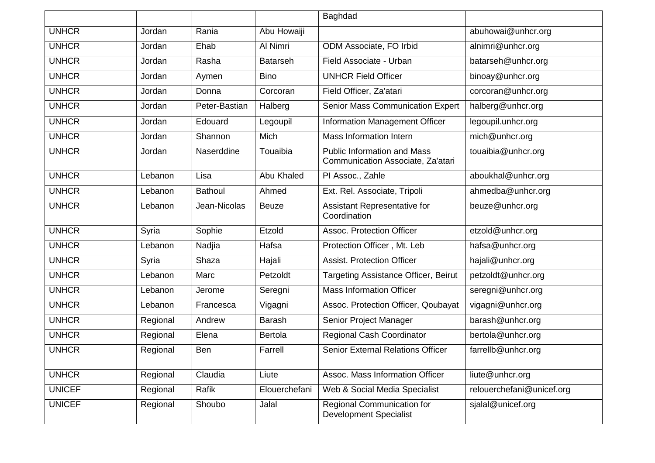|               |          |                |                 | Baghdad                                                                 |                           |
|---------------|----------|----------------|-----------------|-------------------------------------------------------------------------|---------------------------|
| <b>UNHCR</b>  | Jordan   | Rania          | Abu Howaiji     |                                                                         | abuhowai@unhcr.org        |
| <b>UNHCR</b>  | Jordan   | Ehab           | Al Nimri        | ODM Associate, FO Irbid                                                 | alnimri@unhcr.org         |
| <b>UNHCR</b>  | Jordan   | Rasha          | <b>Batarseh</b> | Field Associate - Urban                                                 | batarseh@unhcr.org        |
| <b>UNHCR</b>  | Jordan   | Aymen          | <b>Bino</b>     | <b>UNHCR Field Officer</b>                                              | binoay@unhcr.org          |
| <b>UNHCR</b>  | Jordan   | Donna          | Corcoran        | Field Officer, Za'atari                                                 | corcoran@unhcr.org        |
| <b>UNHCR</b>  | Jordan   | Peter-Bastian  | Halberg         | <b>Senior Mass Communication Expert</b>                                 | halberg@unhcr.org         |
| <b>UNHCR</b>  | Jordan   | Edouard        | Legoupil        | Information Management Officer                                          | legoupil.unhcr.org        |
| <b>UNHCR</b>  | Jordan   | Shannon        | Mich            | Mass Information Intern                                                 | mich@unhcr.org            |
| <b>UNHCR</b>  | Jordan   | Naserddine     | Touaibia        | <b>Public Information and Mass</b><br>Communication Associate, Za'atari | touaibia@unhcr.org        |
| <b>UNHCR</b>  | Lebanon  | Lisa           | Abu Khaled      | PI Assoc., Zahle                                                        | aboukhal@unhcr.org        |
| <b>UNHCR</b>  | Lebanon  | <b>Bathoul</b> | Ahmed           | Ext. Rel. Associate, Tripoli                                            | ahmedba@unhcr.org         |
| <b>UNHCR</b>  | Lebanon  | Jean-Nicolas   | <b>Beuze</b>    | Assistant Representative for<br>Coordination                            | beuze@unhcr.org           |
| <b>UNHCR</b>  | Syria    | Sophie         | Etzold          | Assoc. Protection Officer                                               | etzold@unhcr.org          |
| <b>UNHCR</b>  | Lebanon  | Nadjia         | Hafsa           | Protection Officer, Mt. Leb                                             | hafsa@unhcr.org           |
| <b>UNHCR</b>  | Syria    | Shaza          | Hajali          | <b>Assist. Protection Officer</b>                                       | hajali@unhcr.org          |
| <b>UNHCR</b>  | Lebanon  | Marc           | Petzoldt        | Targeting Assistance Officer, Beirut                                    | petzoldt@unhcr.org        |
| <b>UNHCR</b>  | Lebanon  | Jerome         | Seregni         | <b>Mass Information Officer</b>                                         | seregni@unhcr.org         |
| <b>UNHCR</b>  | Lebanon  | Francesca      | Vigagni         | Assoc. Protection Officer, Qoubayat                                     | vigagni@unhcr.org         |
| <b>UNHCR</b>  | Regional | Andrew         | Barash          | Senior Project Manager                                                  | barash@unhcr.org          |
| <b>UNHCR</b>  | Regional | Elena          | <b>Bertola</b>  | <b>Regional Cash Coordinator</b>                                        | bertola@unhcr.org         |
| <b>UNHCR</b>  | Regional | <b>Ben</b>     | Farrell         | <b>Senior External Relations Officer</b>                                | farrellb@unhcr.org        |
| <b>UNHCR</b>  | Regional | Claudia        | Liute           | Assoc. Mass Information Officer                                         | liute@unhcr.org           |
| <b>UNICEF</b> | Regional | Rafik          | Elouerchefani   | Web & Social Media Specialist                                           | relouerchefani@unicef.org |
| <b>UNICEF</b> | Regional | Shoubo         | Jalal           | Regional Communication for<br><b>Development Specialist</b>             | sjalal@unicef.org         |